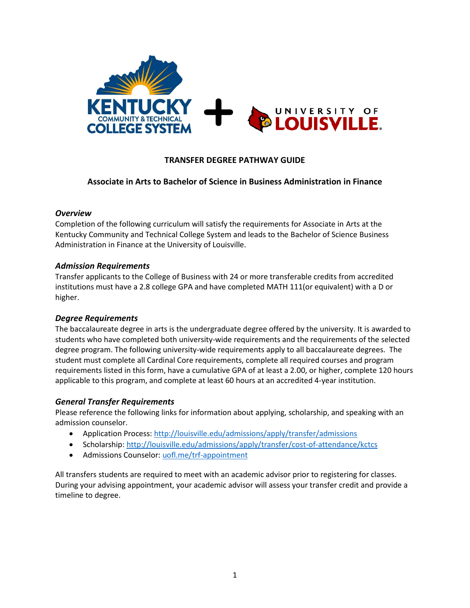

## **TRANSFER DEGREE PATHWAY GUIDE**

### **Associate in Arts to Bachelor of Science in Business Administration in Finance**

#### *Overview*

Completion of the following curriculum will satisfy the requirements for Associate in Arts at the Kentucky Community and Technical College System and leads to the Bachelor of Science Business Administration in Finance at the University of Louisville.

#### *Admission Requirements*

Transfer applicants to the College of Business with 24 or more transferable credits from accredited institutions must have a 2.8 college GPA and have completed MATH 111(or equivalent) with a D or higher.

#### *Degree Requirements*

The baccalaureate degree in arts is the undergraduate degree offered by the university. It is awarded to students who have completed both university-wide requirements and the requirements of the selected degree program. The following university-wide requirements apply to all baccalaureate degrees. The student must complete all Cardinal Core requirements, complete all required courses and program requirements listed in this form, have a cumulative GPA of at least a 2.00, or higher, complete 120 hours applicable to this program, and complete at least 60 hours at an accredited 4-year institution.

#### *General Transfer Requirements*

Please reference the following links for information about applying, scholarship, and speaking with an admission counselor.

- Application Process[: http://louisville.edu/admissions/apply/transfer/admissions](http://louisville.edu/admissions/apply/transfer/admissions)
- Scholarship[: http://louisville.edu/admissions/apply/transfer/cost-of-attendance/kctcs](http://louisville.edu/admissions/apply/transfer/cost-of-attendance/kctcs)
- Admissions Counselor: uofl.me/trf-appointment

All transfers students are required to meet with an academic advisor prior to registering for classes. During your advising appointment, your academic advisor will assess your transfer credit and provide a timeline to degree.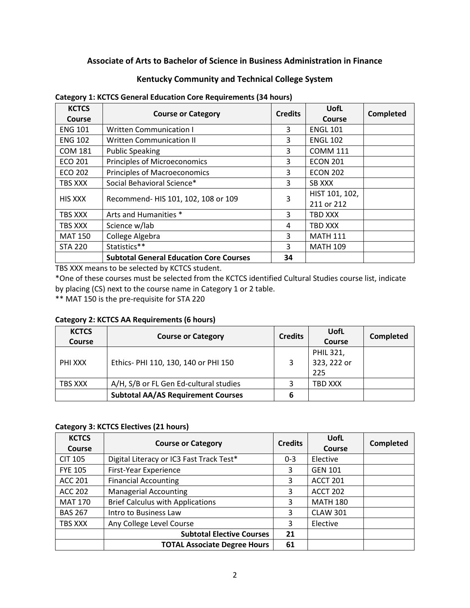## **Associate of Arts to Bachelor of Science in Business Administration in Finance**

### **Kentucky Community and Technical College System**

| <b>KCTCS</b>   | <b>Course or Category</b>                      | <b>Credits</b> | UofL            | Completed |  |
|----------------|------------------------------------------------|----------------|-----------------|-----------|--|
| Course         |                                                |                | Course          |           |  |
| <b>ENG 101</b> | <b>Written Communication I</b>                 | 3              | <b>ENGL 101</b> |           |  |
| <b>ENG 102</b> | <b>Written Communication II</b>                | 3              | <b>ENGL 102</b> |           |  |
| <b>COM 181</b> | <b>Public Speaking</b>                         | 3              | <b>COMM 111</b> |           |  |
| <b>ECO 201</b> | Principles of Microeconomics                   | 3              | <b>ECON 201</b> |           |  |
| ECO 202        | <b>Principles of Macroeconomics</b>            | 3              | <b>ECON 202</b> |           |  |
| TBS XXX        | Social Behavioral Science*                     | 3              | SB XXX          |           |  |
| <b>HIS XXX</b> | Recommend- HIS 101, 102, 108 or 109            | 3              | HIST 101, 102,  |           |  |
|                |                                                |                | 211 or 212      |           |  |
| TBS XXX        | Arts and Humanities *                          | 3              | TBD XXX         |           |  |
| TBS XXX        | Science w/lab                                  | 4              | TBD XXX         |           |  |
| <b>MAT 150</b> | College Algebra                                | 3              | <b>MATH 111</b> |           |  |
| <b>STA 220</b> | Statistics**                                   | 3              | <b>MATH 109</b> |           |  |
|                | <b>Subtotal General Education Core Courses</b> | 34             |                 |           |  |

#### **Category 1: KCTCS General Education Core Requirements (34 hours)**

TBS XXX means to be selected by KCTCS student.

\*One of these courses must be selected from the KCTCS identified Cultural Studies course list, indicate by placing (CS) next to the course name in Category 1 or 2 table.

\*\* MAT 150 is the pre-requisite for STA 220

#### **Category 2: KCTCS AA Requirements (6 hours)**

| <b>KCTCS</b><br>Course | <b>Course or Category</b>                 | <b>Credits</b> | UofL<br><b>Course</b>           | <b>Completed</b> |
|------------------------|-------------------------------------------|----------------|---------------------------------|------------------|
| PHI XXX                | Ethics- PHI 110, 130, 140 or PHI 150      |                | PHIL 321,<br>323, 222 or<br>225 |                  |
| TBS XXX                | A/H, S/B or FL Gen Ed-cultural studies    |                | TBD XXX                         |                  |
|                        | <b>Subtotal AA/AS Requirement Courses</b> | 6              |                                 |                  |

### **Category 3: KCTCS Electives (21 hours)**

| <b>KCTCS</b><br><b>Course</b> | <b>Course or Category</b>                | <b>Credits</b> | UofL<br>Course  | <b>Completed</b> |
|-------------------------------|------------------------------------------|----------------|-----------------|------------------|
| <b>CIT 105</b>                | Digital Literacy or IC3 Fast Track Test* | $0 - 3$        | Elective        |                  |
| <b>FYE 105</b>                | First-Year Experience                    | 3              | <b>GEN 101</b>  |                  |
| <b>ACC 201</b>                | <b>Financial Accounting</b>              | 3              | <b>ACCT 201</b> |                  |
| <b>ACC 202</b>                | <b>Managerial Accounting</b>             | 3              | <b>ACCT 202</b> |                  |
| <b>MAT 170</b>                | <b>Brief Calculus with Applications</b>  | 3              | <b>MATH 180</b> |                  |
| <b>BAS 267</b>                | Intro to Business Law                    | 3              | <b>CLAW 301</b> |                  |
| TBS XXX                       | Any College Level Course                 | 3              | Elective        |                  |
|                               | <b>Subtotal Elective Courses</b>         | 21             |                 |                  |
|                               | <b>TOTAL Associate Degree Hours</b>      | 61             |                 |                  |